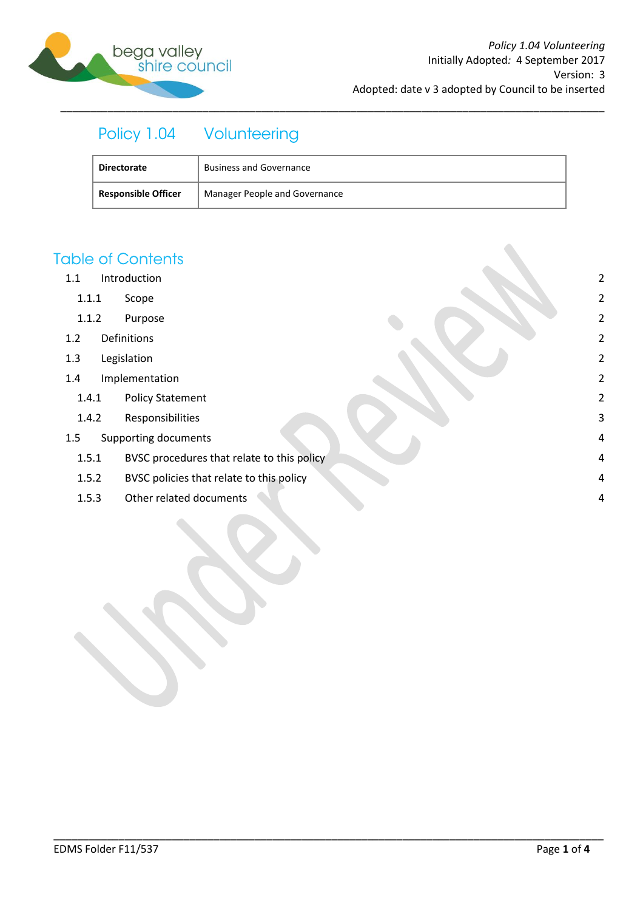

# Policy 1.04 Volunteering

| <b>Directorate</b>         | <b>Business and Governance</b> |
|----------------------------|--------------------------------|
| <b>Responsible Officer</b> | Manager People and Governance  |

\_\_\_\_\_\_\_\_\_\_\_\_\_\_\_\_\_\_\_\_\_\_\_\_\_\_\_\_\_\_\_\_\_\_\_\_\_\_\_\_\_\_\_\_\_\_\_\_\_\_\_\_\_\_\_\_\_\_\_\_\_\_\_\_\_\_\_\_\_\_\_\_\_\_\_\_\_\_\_\_\_\_\_\_\_\_\_\_\_\_\_\_\_

# **Table of Contents**

- 1.1 [Introduction](#page-1-0) 2
	- 1.1.1 [Scope](#page-1-1) 2
	- 1.1.2 [Purpose](#page-1-2) 2
- 1.2 [Definitions](#page-1-3) 2
- 1.3 [Legislation](#page-1-4) 2
- 1.4 [Implementation](#page-1-5) 2
	- 1.4.1 [Policy Statement](#page-1-6) 2
	- 1.4.2 [Responsibilities](#page-2-0) 3
- 1.5 [Supporting documents](#page-3-0) 4
	- 1.5.1 [BVSC procedures that relate to this policy](#page-3-1) **1.5.1 BVSC procedures that relate to this policy 1.5.1 All and 2.4**
	- 1.5.2 [BVSC policies that relate to this policy](#page-3-2) 4
	- 1.5.3 [Other related documents](#page-3-3) 4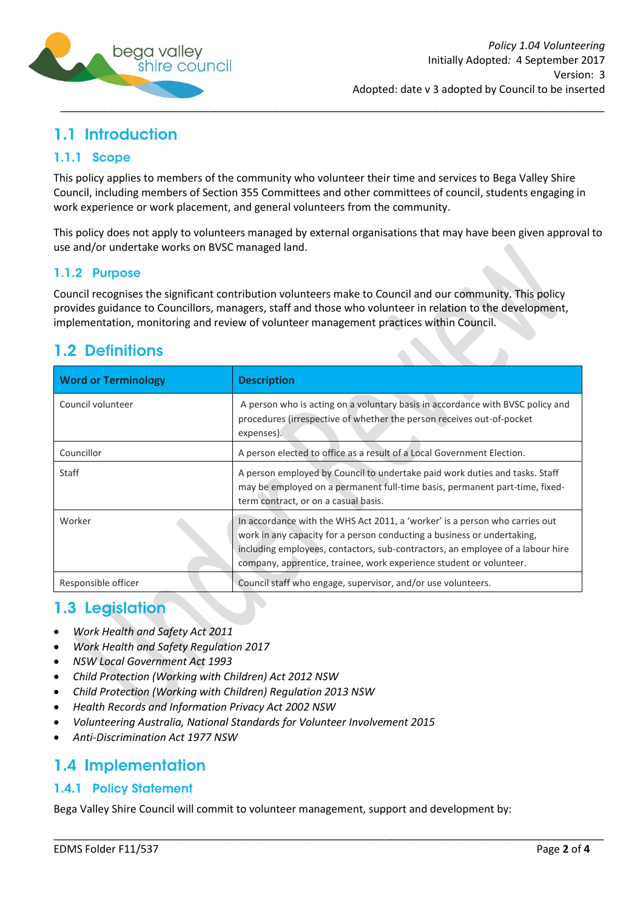

# <span id="page-1-0"></span>1.1 Introduction

### <span id="page-1-1"></span>1.1.1 Scope

This policy applies to members of the community who volunteer their time and services to Bega Valley Shire Council, including members of Section 355 Committees and other committees of council, students engaging in work experience or work placement, and general volunteers from the community.

This policy does not apply to volunteers managed by external organisations that may have been given approval to use and/or undertake works on BVSC managed land.

#### <span id="page-1-2"></span>1.1.2 Purpose

Council recognises the significant contribution volunteers make to Council and our community. This policy provides guidance to Councillors, managers, staff and those who volunteer in relation to the development, implementation, monitoring and review of volunteer management practices within Council.

# <span id="page-1-3"></span>1.2 Definitions

| <b>Word or Terminology</b> | <b>Description</b>                                                                                                                                                                                                                                                                                              |
|----------------------------|-----------------------------------------------------------------------------------------------------------------------------------------------------------------------------------------------------------------------------------------------------------------------------------------------------------------|
| Council volunteer          | A person who is acting on a voluntary basis in accordance with BVSC policy and<br>procedures (irrespective of whether the person receives out-of-pocket<br>expenses).                                                                                                                                           |
| Councillor                 | A person elected to office as a result of a Local Government Election.                                                                                                                                                                                                                                          |
| <b>Staff</b>               | A person employed by Council to undertake paid work duties and tasks. Staff<br>may be employed on a permanent full-time basis, permanent part-time, fixed-<br>term contract, or on a casual basis.                                                                                                              |
| Worker                     | In accordance with the WHS Act 2011, a 'worker' is a person who carries out<br>work in any capacity for a person conducting a business or undertaking,<br>including employees, contactors, sub-contractors, an employee of a labour hire<br>company, apprentice, trainee, work experience student or volunteer. |
| Responsible officer        | Council staff who engage, supervisor, and/or use volunteers.                                                                                                                                                                                                                                                    |

## <span id="page-1-4"></span>1.3 Legislation

- *Work Health and Safety Act 2011*
- *Work Health and Safety Regulation 2017*
- *NSW Local Government Act 1993*
- *Child Protection (Working with Children) Act 2012 NSW*
- *Child Protection (Working with Children) Regulation 2013 NSW*
- *Health Records and Information Privacy Act 2002 NSW*
- *Volunteering Australia, National Standards for Volunteer Involvement 2015*
- *Anti-Discrimination Act 1977 NSW*

# <span id="page-1-5"></span>1.4 Implementation

#### <span id="page-1-6"></span>**1.4.1 Policy Statement**

Bega Valley Shire Council will commit to volunteer management, support and development by:

\_\_\_\_\_\_\_\_\_\_\_\_\_\_\_\_\_\_\_\_\_\_\_\_\_\_\_\_\_\_\_\_\_\_\_\_\_\_\_\_\_\_\_\_\_\_\_\_\_\_\_\_\_\_\_\_\_\_\_\_\_\_\_\_\_\_\_\_\_\_\_\_\_\_\_\_\_\_\_\_\_\_\_\_\_\_\_\_\_\_\_\_\_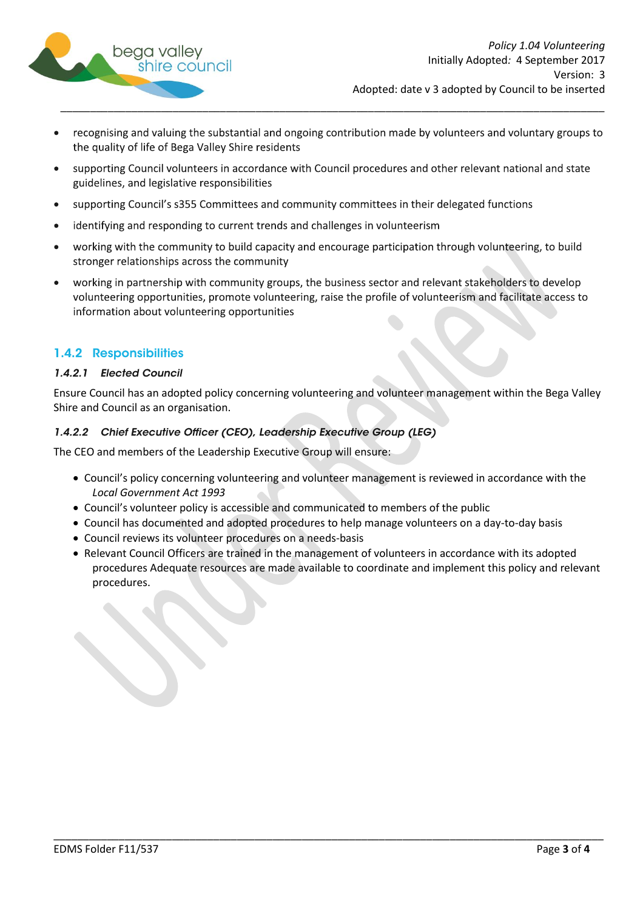

- recognising and valuing the substantial and ongoing contribution made by volunteers and voluntary groups to the quality of life of Bega Valley Shire residents
- supporting Council volunteers in accordance with Council procedures and other relevant national and state guidelines, and legislative responsibilities
- supporting Council's s355 Committees and community committees in their delegated functions
- identifying and responding to current trends and challenges in volunteerism  $\bullet$
- working with the community to build capacity and encourage participation through volunteering, to build stronger relationships across the community
- working in partnership with community groups, the business sector and relevant stakeholders to develop volunteering opportunities, promote volunteering, raise the profile of volunteerism and facilitate access to information about volunteering opportunities

#### <span id="page-2-0"></span>1.4.2 Responsibilities

#### 1.4.2.1 Elected Council

Ensure Council has an adopted policy concerning volunteering and volunteer management within the Bega Valley Shire and Council as an organisation.

#### 1.4.2.2 Chief Executive Officer (CEO), Leadership Executive Group (LEG)

The CEO and members of the Leadership Executive Group will ensure:

- Council's policy concerning volunteering and volunteer management is reviewed in accordance with the *Local Government Act 1993*
- Council's volunteer policy is accessible and communicated to members of the public
- Council has documented and adopted procedures to help manage volunteers on a day-to-day basis
- Council reviews its volunteer procedures on a needs-basis
- Relevant Council Officers are trained in the management of volunteers in accordance with its adopted procedures Adequate resources are made available to coordinate and implement this policy and relevant procedures.

\_\_\_\_\_\_\_\_\_\_\_\_\_\_\_\_\_\_\_\_\_\_\_\_\_\_\_\_\_\_\_\_\_\_\_\_\_\_\_\_\_\_\_\_\_\_\_\_\_\_\_\_\_\_\_\_\_\_\_\_\_\_\_\_\_\_\_\_\_\_\_\_\_\_\_\_\_\_\_\_\_\_\_\_\_\_\_\_\_\_\_\_\_